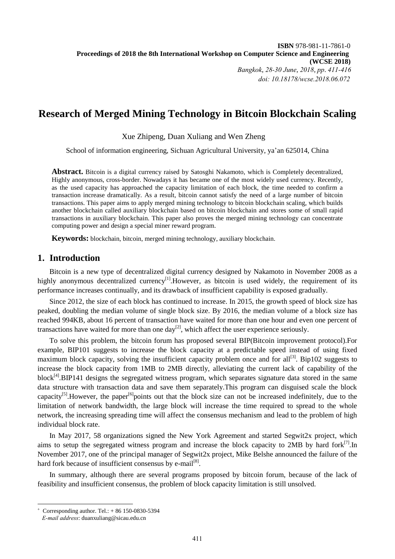# **Research of Merged Mining Technology in Bitcoin Blockchain Scaling**

Xue Zhipeng, Duan Xuliang and Wen Zheng <sup>1</sup>

School of information engineering, Sichuan Agricultural University, ya'an 625014, China

**Abstract.** Bitcoin is a digital currency raised by Satosghi Nakamoto, which is Completely decentralized, Highly anonymous, cross-border. Nowadays it has became one of the most widely used currency. Recently, as the used capacity has approached the capacity limitation of each block, the time needed to confirm a transaction increase dramatically. As a result, bitcoin cannot satisfy the need of a large number of bitcoin transactions. This paper aims to apply merged mining technology to bitcoin blockchain scaling, which builds another blockchain called auxiliary blockchain based on bitcoin blockchain and stores some of small rapid transactions in auxiliary blockchain. This paper also proves the merged mining technology can concentrate computing power and design a special miner reward program.

**Keywords:** blockchain, bitcoin, merged mining technology, auxiliary blockchain.

### **1. Introduction**

Bitcoin is a new type of decentralized digital currency designed by Nakamoto in November 2008 as a highly anonymous decentralized currency<sup>[1]</sup>. However, as bitcoin is used widely, the requirement of its performance increases continually, and its drawback of insufficient capability is exposed gradually.

Since 2012, the size of each block has continued to increase. In 2015, the growth speed of block size has peaked, doubling the median volume of single block size. By 2016, the median volume of a block size has reached 994KB, about 16 percent of transaction have waited for more than one hour and even one percent of transactions have waited for more than one day<sup>[2]</sup>, which affect the user experience seriously.

To solve this problem, the bitcoin forum has proposed several BIP(Bitcoin improvement protocol).For example, BIP101 suggests to increase the block capacity at a predictable speed instead of using fixed maximum block capacity, solving the insufficient capacity problem once and for all<sup>[3]</sup>. Bip102 suggests to increase the block capacity from 1MB to 2MB directly, alleviating the current lack of capability of the block<sup>[4]</sup>.BIP141 designs the segregated witness program, which separates signature data stored in the same data structure with transaction data and save them separately.This program can disguised scale the block capacity<sup>[5]</sup>. However, the paper<sup>[6]</sup>points out that the block size can not be increased indefinitely, due to the limitation of network bandwidth, the large block will increase the time required to spread to the whole network, the increasing spreading time will affect the consensus mechanism and lead to the problem of high individual block rate.

In May 2017, 58 organizations signed the New York Agreement and started Segwit2x project, which aims to setup the segregated witness program and increase the block capacity to 2MB by hard for $k^{[7]}$ . In November 2017, one of the principal manager of Segwit2x project, Mike Belshe announced the failure of the hard fork because of insufficient consensus by e-mail<sup>[8]</sup>.

In summary, although there are several programs proposed by bitcoin forum, because of the lack of feasibility and insufficient consensus, the problem of block capacity limitation is still unsolved.

1

 $\overline{+}$ Corresponding author. Tel.: + 86 150-0830-5394

*E-mail address*: duanxuliang@sicau.edu.cn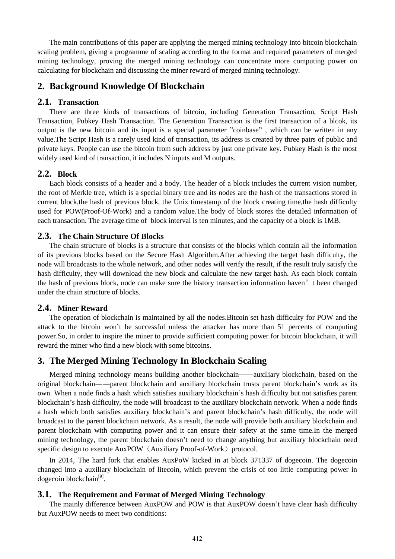The main contributions of this paper are applying the merged mining technology into bitcoin blockchain scaling problem, giving a programme of scaling according to the format and required parameters of merged mining technology, proving the merged mining technology can concentrate more computing power on calculating for blockchain and discussing the miner reward of merged mining technology.

# **2. Background Knowledge Of Blockchain**

#### **2.1. Transaction**

There are three kinds of transactions of bitcoin, including Generation Transaction, Script Hash Transaction, Pubkey Hash Transaction. The Generation Transaction is the first transaction of a blcok, its output is the new bitcoin and its input is a special parameter "coinbase" , which can be written in any value.The Script Hash is a rarely used kind of transaction, its address is created by three pairs of public and private keys. People can use the bitcoin from such address by just one private key. Pubkey Hash is the most widely used kind of transaction, it includes N inputs and M outputs.

### **2.2. Block**

Each block consists of a header and a body. The header of a block includes the current vision number, the root of Merkle tree, which is a special binary tree and its nodes are the hash of the transactions stored in current block,the hash of previous block, the Unix timestamp of the block creating time,the hash difficulty used for POW(Proof-Of-Work) and a random value.The body of block stores the detailed information of each transaction. The average time of block interval is ten minutes, and the capacity of a block is 1MB.

#### **2.3. The Chain Structure Of Blocks**

The chain structure of blocks is a structure that consists of the blocks which contain all the information of its previous blocks based on the Secure Hash Algorithm.After achieving the target hash difficulty, the node will broadcasts to the whole network, and other nodes will verify the result, if the result truly satisfy the hash difficulty, they will download the new block and calculate the new target hash. As each block contain the hash of previous block, node can make sure the history transaction information haven't been changed under the chain structure of blocks.

### **2.4. Miner Reward**

The operation of blockchain is maintained by all the nodes.Bitcoin set hash difficulty for POW and the attack to the bitcoin won't be successful unless the attacker has more than 51 percents of computing power.So, in order to inspire the miner to provide sufficient computing power for bitcoin blockchain, it will reward the miner who find a new block with some bitcoins.

### **3. The Merged Mining Technology In Blockchain Scaling**

Merged mining technology means building another blockchain——auxiliary blockchain, based on the original blockchain——parent blockchain and auxiliary blockchain trusts parent blockchain's work as its own. When a node finds a hash which satisfies auxiliary blockchain's hash difficulty but not satisfies parent blockchain's hash difficulty, the node will broadcast to the auxiliary blockchain network. When a node finds a hash which both satisfies auxiliary blockchain's and parent blockchain's hash difficulty, the node will broadcast to the parent blockchain network. As a result, the node will provide both auxiliary blockchain and parent blockchain with computing power and it can ensure their safety at the same time.In the merged mining technology, the parent blockchain doesn't need to change anything but auxiliary blockchain need specific design to execute AuxPOW (Auxiliary Proof-of-Work) protocol.

In 2014, The hard fork that enables AuxPoW kicked in at block 371337 of dogecoin. The dogecoin changed into a auxiliary blockchain of litecoin, which prevent the crisis of too little computing power in dogecoin blockchain<sup>[9]</sup>.

#### **3.1. The Requirement and Format of Merged Mining Technology**

The mainly difference between AuxPOW and POW is that AuxPOW doesn't have clear hash difficulty but AuxPOW needs to meet two conditions: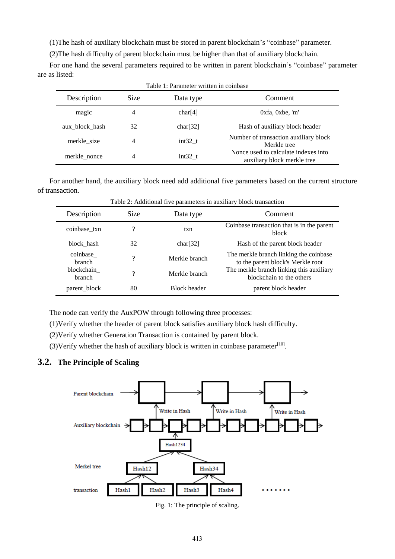(1)The hash of auxiliary blockchain must be stored in parent blockchain's "coinbase" parameter.

(2)The hash difficulty of parent blockchain must be higher than that of auxiliary blockchain.

For one hand the several parameters required to be written in parent blockchain's "coinbase" parameter are as listed:

| Description    | Size | Data type | Comment                                                             |  |
|----------------|------|-----------|---------------------------------------------------------------------|--|
| magic          | 4    | char[4]   | $0xfa$ , $0xbe$ , 'm'                                               |  |
| aux block hash | 32   | char[32]  | Hash of auxiliary block header                                      |  |
| merkle size    | 4    | $int32$ t | Number of transaction auxiliary block<br>Merkle tree                |  |
| merkle nonce   | 4    | $int32$ t | Nonce used to calculate indexes into<br>auxiliary block merkle tree |  |

For another hand, the auxiliary block need add additional five parameters based on the current structure of transaction.

| Description               | <b>Size</b> | Data type           | Comment                                                                                                                                             |  |
|---------------------------|-------------|---------------------|-----------------------------------------------------------------------------------------------------------------------------------------------------|--|
| coinbase_txn              | ?           | txn                 | Coinbase transaction that is in the parent<br>block                                                                                                 |  |
| block hash                | 32          | char[32]            | Hash of the parent block header                                                                                                                     |  |
| coinbase<br><b>branch</b> | ?           | Merkle branch       | The merkle branch linking the coinbase<br>to the parent block's Merkle root<br>The merkle branch linking this auxiliary<br>blockchain to the others |  |
| blockchain<br>branch      | ?           | Merkle branch       |                                                                                                                                                     |  |
| parent_block              | 80          | <b>Block header</b> | parent block header                                                                                                                                 |  |

Table 2: Additional five parameters in auxiliary block transaction

The node can verify the AuxPOW through following three processes:

(1)Verify whether the header of parent block satisfies auxiliary block hash difficulty.

(2)Verify whether Generation Transaction is contained by parent block.

(3) Verify whether the hash of auxiliary block is written in coinbase parameter $^{[10]}$ .

### **3.2. The Principle of Scaling**



Fig. 1: The principle of scaling.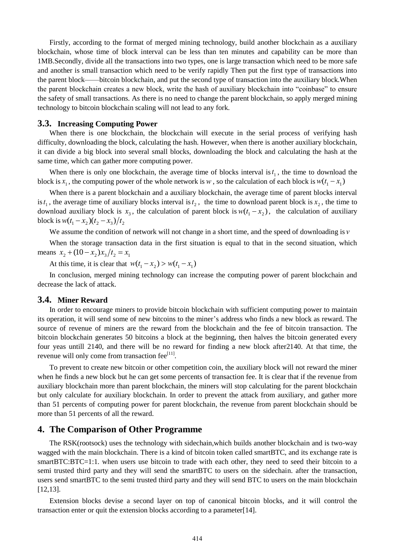Firstly, according to the format of merged mining technology, build another blockchain as a auxiliary blockchain, whose time of block interval can be less than ten minutes and capability can be more than 1MB.Secondly, divide all the transactions into two types, one is large transaction which need to be more safe and another is small transaction which need to be verify rapidly Then put the first type of transactions into the parent block——bitcoin blockchain, and put the second type of transaction into the auxiliary block.When the parent blockchain creates a new block, write the hash of auxiliary blockchain into "coinbase" to ensure the safety of small transactions. As there is no need to change the parent blockchain, so apply merged mining technology to bitcoin blockchain scaling will not lead to any fork.

#### **3.3. Increasing Computing Power**

When there is one blockchain, the blockchain will execute in the serial process of verifying hash difficulty, downloading the block, calculating the hash. However, when there is another auxiliary blockchain, it can divide a big block into several small blocks, downloading the block and calculating the hash at the same time, which can gather more computing power.

When there is only one blockchain, the average time of blocks interval is  $t_1$ , the time to download the block is  $x_1$ , the computing power of the whole network is w, so the calculation of each block is  $w(t_1 - x_1)$ 

When there is a parent blockchain and a auxiliary blockchain, the average time of parent blocks interval is  $t_1$ , the average time of auxiliary blocks interval is  $t_2$ , the time to download parent block is  $x_2$ , the time to download auxiliary block is  $x_3$ , the calculation of parent block is  $w(t_1 - x_2)$ , the calculation of auxiliary block is  $w(t_1 - x_2)(t_2 - x_3)/t_2$ 

We assume the condition of network will not change in a short time, and the speed of downloading is *v*

When the storage transaction data in the first situation is equal to that in the second situation, which means  $x_2 + (10 - x_2)x_3/t_2 = x_1$ 

At this time, it is clear that  $w(t_1 - x_2) > w(t_1 - x_1)$ 

In conclusion, merged mining technology can increase the computing power of parent blockchain and decrease the lack of attack.

#### **3.4. Miner Reward**

In order to encourage miners to provide bitcoin blockchain with sufficient computing power to maintain its operation, it will send some of new bitcoins to the miner's address who finds a new block as reward. The source of revenue of miners are the reward from the blockchain and the fee of bitcoin transaction. The bitcoin blockchain generates 50 bitcoins a block at the beginning, then halves the bitcoin generated every four yeas untill 2140, and there will be no reward for finding a new block after2140. At that time, the revenue will only come from transaction fee<sup>[11]</sup>.

To prevent to create new bitcoin or other competition coin, the auxiliary block will not reward the miner when he finds a new block but he can get some percents of transaction fee. It is clear that if the revenue from auxiliary blockchain more than parent blockchain, the miners will stop calculating for the parent blockchain but only calculate for auxiliary blockchain. In order to prevent the attack from auxiliary, and gather more than 51 percents of computing power for parent blockchain, the revenue from parent blockchain should be more than 51 percents of all the reward.

### **4. The Comparison of Other Programme**

The RSK(rootsock) uses the technology with sidechain,which builds another blockchain and is two-way wagged with the main blockchain. There is a kind of bitcoin token called smartBTC, and its exchange rate is smartBTC:BTC=1:1. when users use bitcoin to trade with each other, they need to seed their bitcoin to a semi trusted third party and they will send the smartBTC to users on the sidechain. after the transaction, users send smartBTC to the semi trusted third party and they will send BTC to users on the main blockchain [12,13].

Extension blocks devise a second layer on top of canonical bitcoin blocks, and it will control the transaction enter or quit the extension blocks according to a parameter[14].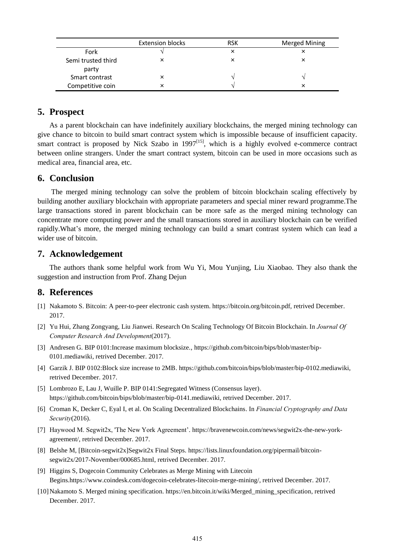|                             | <b>Extension blocks</b> | <b>RSK</b> | <b>Merged Mining</b> |
|-----------------------------|-------------------------|------------|----------------------|
| Fork                        |                         |            |                      |
| Semi trusted third<br>party | v                       |            |                      |
| Smart contrast              |                         |            |                      |
| Competitive coin            |                         |            |                      |

# **5. Prospect**

As a parent blockchain can have indefinitely auxiliary blockchains, the merged mining technology can give chance to bitcoin to build smart contract system which is impossible because of insufficient capacity. smart contract is proposed by Nick Szabo in  $1997^{[15]}$ , which is a highly evolved e-commerce contract between online strangers. Under the smart contract system, bitcoin can be used in more occasions such as medical area, financial area, etc.

# **6. Conclusion**

The merged mining technology can solve the problem of bitcoin blockchain scaling effectively by building another auxiliary blockchain with appropriate parameters and special miner reward programme.The large transactions stored in parent blockchain can be more safe as the merged mining technology can concentrate more computing power and the small transactions stored in auxiliary blockchain can be verified rapidly.What's more, the merged mining technology can build a smart contrast system which can lead a wider use of bitcoin.

### **7. Acknowledgement**

The authors thank some helpful work from Wu Yi, Mou Yunjing, Liu Xiaobao. They also thank the suggestion and instruction from Prof. Zhang Dejun

# **8. References**

- [1] Nakamoto S. Bitcoin: A peer-to-peer electronic cash system. https://bitcoin.org/bitcoin.pdf, retrived December. 2017.
- [2] Yu Hui, Zhang Zongyang, Liu Jianwei. Research On Scaling Technology Of Bitcoin Blockchain. In *Journal Of Computer Research And Development*(2017).
- [3] Andresen G. BIP 0101:Increase maximum blocksize.[, https://github.com/bitcoin/bips/blob/master/bip-](https://github.com/bitcoin/bips/blob/master/bip-0101.mediawiki,)[0101.mediawiki,](https://github.com/bitcoin/bips/blob/master/bip-0101.mediawiki,) retrived December. 2017.
- [4] Garzik J. BIP 0102:Block size increase to 2MB. https://github.com/bitcoin/bips/blob/master/bip-0102.mediawiki, retrived December. 2017.
- [5] Lombrozo E, Lau J, Wuille P. BIP 0141:Segregated Witness (Consensus layer). https://github.com/bitcoin/bips/blob/master/bip-0141.mediawiki, retrived December. 2017.
- [6] Croman K, Decker C, Eyal I, et al. On Scaling Decentralized Blockchains. In *Financial Cryptography and Data Security*(2016).
- [7] Haywood M. Segwit2x, 'The New York Agreement'. [https://bravenewcoin.com/news/segwit2x-the-new-york](https://bravenewcoin.com/news/segwit2x-the-new-york-agreement/)[agreement/,](https://bravenewcoin.com/news/segwit2x-the-new-york-agreement/) retrived December. 2017.
- [8] Belshe M, [Bitcoin-segwit2x]Segwit2x Final Steps. https://lists.linuxfoundation.org/pipermail/bitcoinsegwit2x/2017-November/000685.html, retrived December. 2017.
- [9] Higgins S, Dogecoin Community Celebrates as Merge Mining with Litecoin Begins.https://www.coindesk.com/dogecoin-celebrates-litecoin-merge-mining/, retrived December. 2017.
- [10]Nakamoto S. Merged mining specification. https://en.bitcoin.it/wiki/Merged\_mining\_specification, retrived December. 2017.